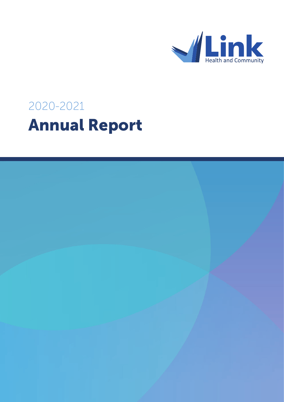

# 2020-2021 Annual Report

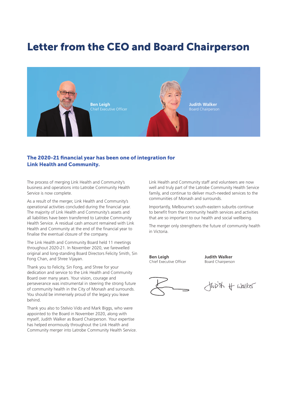# Letter from the CEO and Board Chairperson



### The 2020-21 financial year has been one of integration for Link Health and Community.

The process of merging Link Health and Community's business and operations into Latrobe Community Health Service is now complete.

As a result of the merger, Link Health and Community's operational activities concluded during the financial year. The majority of Link Health and Community's assets and all liabilities have been transferred to Latrobe Community Health Service. A residual cash amount remained with Link Health and Community at the end of the financial year to finalise the eventual closure of the company.

The Link Health and Community Board held 11 meetings throughout 2020-21. In November 2020, we farewelled original and long-standing Board Directors Felicity Smith, Sin Fong Chan, and Shree Vijayan.

Thank you to Felicity, Sin Fong, and Shree for your dedication and service to the Link Health and Community Board over many years. Your vision, courage and perseverance was instrumental in steering the strong future of community health in the City of Monash and surrounds. You should be immensely proud of the legacy you leave behind.

Thank you also to Stelvio Vido and Mark Biggs, who were appointed to the Board in November 2020, along with myself, Judith Walker as Board Chairperson. Your expertise has helped enormously throughout the Link Health and Community merger into Latrobe Community Health Service. Link Health and Community staff and volunteers are now well and truly part of the Latrobe Community Health Service family, and continue to deliver much-needed services to the communities of Monash and surrounds.

Importantly, Melbourne's south-eastern suburbs continue to benefit from the community health services and activities that are so important to our health and social wellbeing.

The merger only strengthens the future of community health in Victoria.

**Ben Leigh** Chief Executive Officer

**Judith Walker** Board Chairperson

Just of walker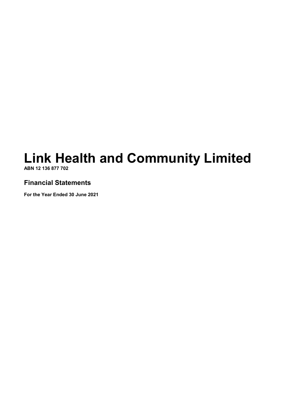# **Link Health and Community Limited ABN 12 136 877 702**

# **Financial Statements**

**For the Year Ended 30 June 2021**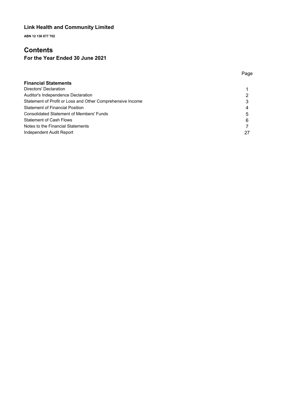**ABN 12 136 877 702**

# **Contents**

# **For the Year Ended 30 June 2021**

| <b>Financial Statements</b>                                |    |
|------------------------------------------------------------|----|
| Directors' Declaration                                     |    |
| Auditor's Independence Declaration                         |    |
| Statement of Profit or Loss and Other Comprehensive Income |    |
| Statement of Financial Position                            | 4  |
| <b>Consolidated Statement of Members' Funds</b>            | 5  |
| Statement of Cash Flows                                    | 6  |
| Notes to the Financial Statements                          |    |
| Independent Audit Report                                   | 27 |

Page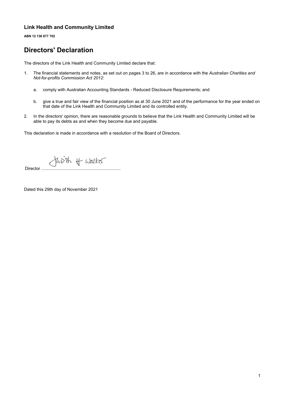**ABN 12 136 877 702**

# **Directors' Declaration**

The directors of the Link Health and Community Limited declare that:

- 1. The financial statements and notes, as set out on pages 3 to 26, are in accordance with the *Australian Charities and Not-for-profits Commission Act 2012*:
	- a. comply with Australian Accounting Standards Reduced Disclosure Requirements; and
	- b. give a true and fair view of the financial position as at 30 June 2021 and of the performance for the year ended on that date of the Link Health and Community Limited and its controlled entity.
- 2. In the directors' opinion, there are reasonable grounds to believe that the Link Health and Community Limited will be able to pay its debts as and when they become due and payable.

This declaration is made in accordance with a resolution of the Board of Directors.

Juvit Hudker

Dated this 29th day of November 2021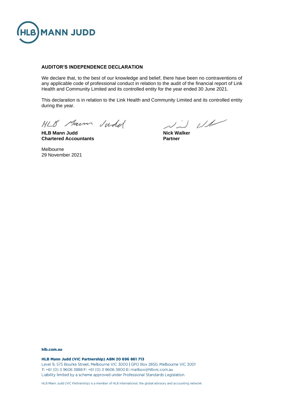

#### **AUDITOR'S INDEPENDENCE DECLARATION**

We declare that, to the best of our knowledge and belief, there have been no contraventions of any applicable code of professional conduct in relation to the audit of the financial report of Link Health and Community Limited and its controlled entity for the year ended 30 June 2021.

This declaration is in relation to the Link Health and Community Limited and its controlled entity during the year.

HLB Marm Judel

**HLB Mann Judd Nick Walker Chartered Accountants Partner**

 $\omega$ 

Melbourne 29 November 2021

#### hlb.com.au

HLB Mann Judd (VIC Partnership) ABN 20 696 861 713

Level 9, 575 Bourke Street, Melbourne VIC 3000 | GPO Box 2850, Melbourne VIC 3001 T: +61 (0) 3 9606 3888 F: +61 (0) 3 9606 3800 E: mailbox@hlbvic.com.au Liability limited by a scheme approved under Professional Standards Legislation.

HLB Mann Judd (VIC Partnership) is a member of HLB International, the global advisory and accounting network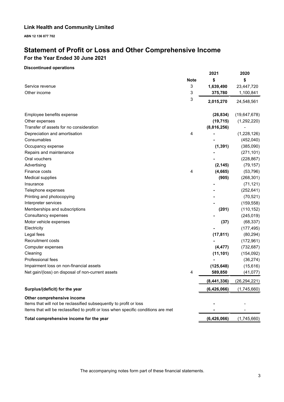**ABN 12 136 877 702**

# **Statement of Profit or Loss and Other Comprehensive Income For the Year Ended 30 June 2021**

### **Discontinued operations**

|                                                                                    |             | 2021        | 2020           |
|------------------------------------------------------------------------------------|-------------|-------------|----------------|
|                                                                                    | <b>Note</b> | \$          | \$             |
| Service revenue                                                                    | 3           | 1,639,490   | 23,447,720     |
| Other income                                                                       | 3           | 375,780     | 1,100,841      |
|                                                                                    | 3           | 2,015,270   | 24,548,561     |
| Employee benefits expense                                                          |             | (26, 834)   | (19,647,678)   |
| Other expenses                                                                     |             | (19, 715)   | (1,292,220)    |
| Transfer of assets for no consideration                                            |             | (8,816,256) |                |
| Depreciation and amortisation                                                      | 4           |             | (1,228,126)    |
| Consumables                                                                        |             |             | (452,040)      |
| Occupancy expense                                                                  |             | (1, 391)    | (385,090)      |
| Repairs and maintenance                                                            |             |             | (271, 101)     |
| Oral vouchers                                                                      |             |             | (228, 867)     |
| Advertising                                                                        |             | (2, 145)    | (79, 157)      |
| Finance costs                                                                      | 4           | (4,665)     | (53, 796)      |
| <b>Medical supplies</b>                                                            |             | (905)       | (268, 301)     |
| Insurance                                                                          |             |             | (71, 121)      |
| Telephone expenses                                                                 |             |             | (252, 641)     |
| Printing and photocopying                                                          |             |             | (70, 521)      |
| Interpreter services                                                               |             |             | (159, 558)     |
| Memberships and subscriptions                                                      |             | (201)       | (110, 152)     |
| Consultancy expenses                                                               |             |             | (245, 019)     |
| Motor vehicle expenses                                                             |             | (37)        | (68, 337)      |
| Electricity                                                                        |             |             | (177, 495)     |
| Legal fees                                                                         |             | (17, 811)   | (80, 294)      |
| <b>Recruitment costs</b>                                                           |             |             | (172, 961)     |
| Computer expenses                                                                  |             | (4, 477)    | (732, 687)     |
| Cleaning                                                                           |             | (11, 101)   | (154, 092)     |
| Professional fees                                                                  |             |             | (36, 274)      |
| Impairment loss on non-financial assets                                            |             | (125, 648)  | (15,616)       |
| Net gain/(loss) on disposal of non-current assets                                  | 4           | 589,850     | (41, 077)      |
|                                                                                    |             | (8,441,336) | (26, 294, 221) |
| Surplus/(deficit) for the year                                                     |             | (6,426,066) | (1,745,660)    |
| Other comprehensive income                                                         |             |             |                |
| Items that will not be reclassified subsequently to profit or loss                 |             |             |                |
| Items that will be reclassified to profit or loss when specific conditions are met |             |             |                |
| Total comprehensive income for the year                                            |             | (6,426,066) | (1,745,660)    |

The accompanying notes form part of these financial statements.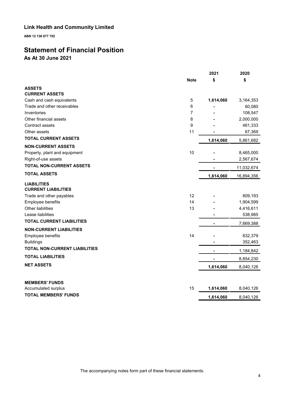**ABN 12 136 877 702**

# **Statement of Financial Position**

**As At 30 June 2021**

|                                      |             | 2021      | 2020       |
|--------------------------------------|-------------|-----------|------------|
|                                      | <b>Note</b> | \$        | \$         |
| <b>ASSETS</b>                        |             |           |            |
| <b>CURRENT ASSETS</b>                |             |           |            |
| Cash and cash equivalents            | 5           | 1,614,060 | 3,164,353  |
| Trade and other receivables          | 6           |           | 60,080     |
| Inventories                          | 7           |           | 108,547    |
| Other financial assets               | 8           |           | 2,000,000  |
| Contract assets                      | 9           |           | 461,333    |
| Other assets                         | 11          |           | 67,369     |
| <b>TOTAL CURRENT ASSETS</b>          |             | 1,614,060 | 5,861,682  |
| <b>NON-CURRENT ASSETS</b>            |             |           |            |
| Property, plant and equipment        | 10          |           | 8,465,000  |
| Right-of-use assets                  |             |           | 2,567,674  |
| <b>TOTAL NON-CURRENT ASSETS</b>      |             |           | 11,032,674 |
| <b>TOTAL ASSETS</b>                  |             | 1,614,060 | 16,894,356 |
| <b>LIABILITIES</b>                   |             |           |            |
| <b>CURRENT LIABILITIES</b>           |             |           |            |
| Trade and other payables             | 12          |           | 809,193    |
| Employee benefits                    | 14          |           | 1,904,599  |
| Other liabilities                    | 13          |           | 4,416,611  |
| Lease liabilities                    |             |           | 538,985    |
| <b>TOTAL CURRENT LIABILITIES</b>     |             |           | 7,669,388  |
| <b>NON-CURRENT LIABILITIES</b>       |             |           |            |
| Employee benefits                    | 14          |           | 832,379    |
| <b>Buildings</b>                     |             |           | 352,463    |
| <b>TOTAL NON-CURRENT LIABILITIES</b> |             |           | 1,184,842  |
| <b>TOTAL LIABILITIES</b>             |             |           | 8,854,230  |
| <b>NET ASSETS</b>                    |             | 1,614,060 | 8,040,126  |
|                                      |             |           |            |
| <b>MEMBERS' FUNDS</b>                |             |           |            |
| Accumulated surplus                  | 15          | 1,614,060 | 8,040,126  |
| <b>TOTAL MEMBERS' FUNDS</b>          |             | 1,614,060 | 8,040,126  |

The accompanying notes form part of these financial statements.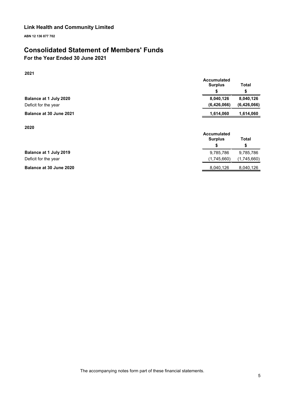**ABN 12 136 877 702**

# **Consolidated Statement of Members' Funds**

# **For the Year Ended 30 June 2021**

### **2021**

|                         | <b>Accumulated</b> |             |
|-------------------------|--------------------|-------------|
|                         | <b>Surplus</b>     | Total       |
|                         |                    |             |
| Balance at 1 July 2020  | 8,040,126          | 8,040,126   |
| Deficit for the year    | (6,426,066)        | (6,426,066) |
| Balance at 30 June 2021 | 1,614,060          | 1,614,060   |
|                         |                    |             |

**2020**

|                         | Accumulated                |  |  |  |
|-------------------------|----------------------------|--|--|--|
|                         | <b>Surplus</b><br>Total    |  |  |  |
|                         | S<br>S                     |  |  |  |
| Balance at 1 July 2019  | 9,785,786<br>9,785,786     |  |  |  |
| Deficit for the year    | (1,745,660)<br>(1,745,660) |  |  |  |
| Balance at 30 June 2020 | 8,040,126<br>8,040,126     |  |  |  |
|                         |                            |  |  |  |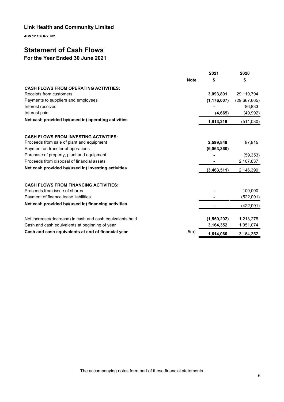**ABN 12 136 877 702**

# **Statement of Cash Flows**

# **For the Year Ended 30 June 2021**

|                                                           |             | 2021          | 2020         |
|-----------------------------------------------------------|-------------|---------------|--------------|
|                                                           | <b>Note</b> | \$            | \$           |
| <b>CASH FLOWS FROM OPERATING ACTIVITIES:</b>              |             |               |              |
| Receipts from customers                                   |             | 3,093,891     | 29,119,794   |
| Payments to suppliers and employees                       |             | (1, 176, 007) | (29,667,665) |
| Interest received                                         |             |               | 86,833       |
| Interest paid                                             |             | (4, 665)      | (49, 992)    |
| Net cash provided by/(used in) operating activities       |             | 1,913,219     | (511, 030)   |
|                                                           |             |               |              |
| <b>CASH FLOWS FROM INVESTING ACTIVITIES:</b>              |             |               |              |
| Proceeds from sale of plant and equipment                 |             | 2,599,849     | 97,915       |
| Payment on transfer of operations                         |             | (6,063,360)   |              |
| Purchase of property, plant and equipment                 |             |               | (59, 353)    |
| Proceeds from disposal of financial assets                |             |               | 2,107,837    |
| Net cash provided by/(used in) investing activities       |             | (3,463,511)   | 2,146,399    |
| <b>CASH FLOWS FROM FINANCING ACTIVITIES:</b>              |             |               |              |
| Proceeds from issue of shares                             |             |               | 100,000      |
| Payment of finance lease liabilities                      |             |               | (522,091)    |
| Net cash provided by/(used in) financing activities       |             |               | (422, 091)   |
|                                                           |             |               |              |
| Net increase/(decrease) in cash and cash equivalents held |             | (1,550,292)   | 1,213,278    |
| Cash and cash equivalents at beginning of year            |             | 3,164,352     | 1,951,074    |
| Cash and cash equivalents at end of financial year        | 5(a)        | 1,614,060     | 3,164,352    |
|                                                           |             |               |              |

The accompanying notes form part of these financial statements.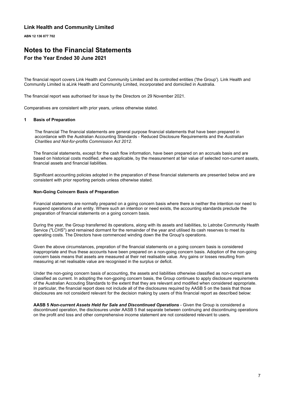**ABN 12 136 877 702**

### **Notes to the Financial Statements For the Year Ended 30 June 2021**

The financial report covers Link Health and Community Limited and its controlled entities ('the Group'). Link Health and Community Limited is aLink Health and Community Limited, incorporated and domiciled in Australia.

The financial report was authorised for issue by the Directors on 29 November 2021.

Comparatives are consistent with prior years, unless otherwise stated.

#### **1 Basis of Preparation**

The financial The financial statements are general purpose financial statements that have been prepared in accordance with the Australian Accounting Standards - Reduced Disclosure Requirements and the *Australian Charities and Not-for-profits Commission Act 2012*.

The financial statements, except for the cash flow information, have been prepared on an accruals basis and are based on historical costs modified, where applicable, by the measurement at fair value of selected non-current assets, financial assets and financial liabilities.

Significant accounting policies adopted in the preparation of these financial statements are presented below and are consistent with prior reporting periods unless otherwise stated.

#### **Non-Going Coincern Basis of Preparation**

Financial statements are normally prepared on a going concern basis where there is neither the intention nor need to suspend operations of an entity. Where such an intention or need exists, the accounting standards preclude the preparation of financial statements on a going concern basis.

During the year, the Group transferred its operations, along with its assets and liabilities, to Latrobe Community Health Service ("LCHS") and remained dormant for the remainder of the year and utilised its cash reserves to meet its operating costs. The Directors have commenced winding down the the Group's operations.

Given the above circumstances, prepration of the financial statements on a going concern basis is considered inappropriate and thus these accounts have been prepared on a non-going concern basis. Adoption of the non-going concern basis means that assets are measured at their net realisable value. Any gains or losses resulting from measuring at net realisable value are recognised in the surplus or deficit.

Under the non-going concern basis of accounting, the assets and liabilities otherwise classified as non-current are classified as current. In adopting the non-gpoing concern basis, the Group continues to apply disclosure requirements of the Australian Accouting Standards to the extent that they are relevant and modified when considered appropriate. In particular, the financial report does not include all of the disclosures required by AASB 5 on the basis that those disclosures are not considerd relevant for the decision making by users of this financial report as described below:

**AASB 5** *Non-current Assets Held for Sale and Discontinued Operations* - Given the Group is considered a discontinued operation, the disclosures under AASB 5 that separate between continuing and discontinuing operations on the profit and loss and other comprehensive income statement are not considered relevant to users.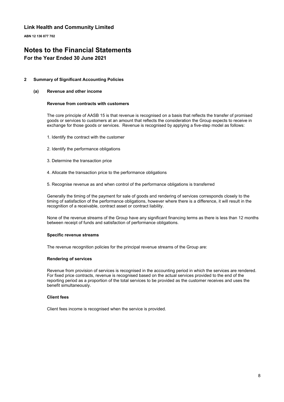**ABN 12 136 877 702**

# **Notes to the Financial Statements**

### **For the Year Ended 30 June 2021**

#### **2 Summary of Significant Accounting Policies**

#### **(a) Revenue and other income**

#### **Revenue from contracts with customers**

The core principle of AASB 15 is that revenue is recognised on a basis that reflects the transfer of promised goods or services to customers at an amount that reflects the consideration the Group expects to receive in exchange for those goods or services. Revenue is recognised by applying a five-step model as follows:

- 1. Identify the contract with the customer
- 2. Identify the performance obligations
- 3. Determine the transaction price
- 4. Allocate the transaction price to the performance obligations
- 5. Recognise revenue as and when control of the performance obligations is transferred

Generally the timing of the payment for sale of goods and rendering of services corresponds closely to the timing of satisfaction of the performance obligations, however where there is a difference, it will result in the recognition of a receivable, contract asset or contract liability.

None of the revenue streams of the Group have any significant financing terms as there is less than 12 months between receipt of funds and satisfaction of performance obligations.

#### **Specific revenue streams**

The revenue recognition policies for the principal revenue streams of the Group are:

#### **Rendering of services**

Revenue from provision of services is recognised in the accounting period in which the services are rendered. For fixed price contracts, revenue is recognised based on the actual services provided to the end of the reporting period as a proportion of the total services to be provided as the customer receives and uses the benefit simultaneously.

#### **Client fees**

Client fees income is recognised when the service is provided.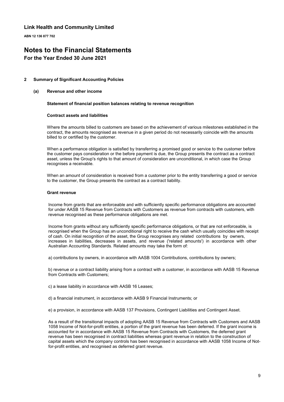**ABN 12 136 877 702**

# **Notes to the Financial Statements**

### **For the Year Ended 30 June 2021**

#### **2 Summary of Significant Accounting Policies**

#### **(a) Revenue and other income**

#### **Statement of financial position balances relating to revenue recognition**

#### **Contract assets and liabilities**

Where the amounts billed to customers are based on the achievement of various milestones established in the contract, the amounts recognised as revenue in a given period do not necessarily coincide with the amounts billed to or certified by the customer.

When a performance obligation is satisfied by transferring a promised good or service to the customer before the customer pays consideration or the before payment is due, the Group presents the contract as a contract asset, unless the Group's rights to that amount of consideration are unconditional, in which case the Group recognises a receivable.

When an amount of consideration is received from a customer prior to the entity transferring a good or service to the customer, the Group presents the contract as a contract liability.

#### **Grant revenue**

Income from grants that are enforceable and with sufficiently specific performance obligations are accounted for under AASB 15 Revenue from Contracts with Customers as revenue from contracts with customers, with revenue recognised as these performance obligations are met.

Income from grants without any sufficiently specific performance obligations, or that are not enforceable, is recognised when the Group has an unconditional right to receive the cash which usually coincides with receipt of cash. On initial recognition of the asset, the Group recognises any related contributions by owners, increases in liabilities, decreases in assets, and revenue ('related amounts') in accordance with other Australian Accounting Standards. Related amounts may take the form of:

a) contributions by owners, in accordance with AASB 1004 Contributions, contributions by owners;

b) revenue or a contract liability arising from a contract with a customer, in accordance with AASB 15 Revenue from Contracts with Customers;

- c) a lease liability in accordance with AASB 16 Leases;
- d) a financial instrument, in accordance with AASB 9 Financial Instruments; or
- e) a provision, in accordance with AASB 137 Provisions, Contingent Liabilities and Contingent Asset.

As a result of the transitional impacts of adopting AASB 15 Revenue from Contracts with Customers and AASB 1058 Income of Not-for-profit entities, a portion of the grant revenue has been deferred. If the grant income is accounted for in accordance with AASB 15 Revenue from Contracts with Customers, the deferred grant revenue has been recognised in contract liabilities whereas grant revenue in relation to the construction of capital assets which the company controls has been recognised in accordance with AASB 1058 Income of Notfor-profit entities, and recognised as deferred grant revenue.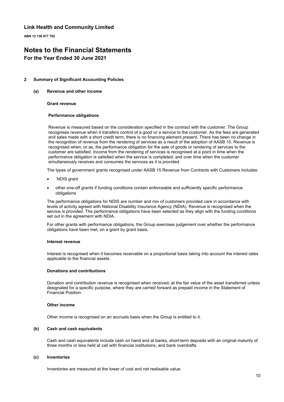**ABN 12 136 877 702**

# **Notes to the Financial Statements**

### **For the Year Ended 30 June 2021**

#### **2 Summary of Significant Accounting Policies**

#### **(a) Revenue and other income**

#### **Grant revenue**

#### **Performance obligations**

Revenue is measured based on the consideration specified in the contract with the customer. The Group recognises revenue when it transfers control of a good or a service to the customer. As the fees are generated and sales made with a short credit term, there is no financing element present. There has been no change in the recognition of revenue from the rendering of services as a result of the adoption of AASB 15. Revenue is recognised when, or as, the performance obligation for the sale of goods or rendering of services to the customer are satisfied. Income from the rendering of services is recognised at a point in time when the performance obligation is satisfied when the service is completed; and over time when the customer simultaneously receives and consumes the services as it is provided.

The types of government grants recognised under AASB 15 Revenue from Contracts with Customers includes:

- NDIS grant
- other one-off grants if funding condtiions contain enforceable and sufficiently specific performance obligations

The performance obligations for NDIS are number and mix of customers provided care in accordance with levels of activity agreed with National Disability Insurance Agency (NDIA). Revenue is recognised when the service is provided. The performance obligations have been selected as they align with the funding conditions set out in the agreement with NDIA.

For other grants with performance obligations, the Group exercises judgement over whether the performance obligations have been met, on a grant by grant basis.

#### **Interest revenue**

Interest is recognised when it becomes receivable on a proportional basis taking into account the interest rates applicable to the financial assets.

#### **Donations and contributions**

Donation and contribution revenue is recognised when received, at the fair value of the asset transferred unless designated for a specific purpose, where they are carried forward as prepaid income in the Statement of Financial Position.

#### **Other income**

Other income is recognised on an accruals basis when the Group is entitled to it.

#### **(b) Cash and cash equivalents**

Cash and cash equivalents include cash on hand and at banks, short-term deposits with an original maturity of three months or less held at call with financial institutions, and bank overdrafts.

#### **(c) Inventories**

Inventories are measured at the lower of cost and net realisable value.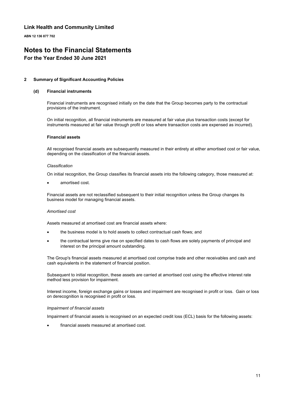**ABN 12 136 877 702**

# **Notes to the Financial Statements**

### **For the Year Ended 30 June 2021**

#### **2 Summary of Significant Accounting Policies**

#### **(d) Financial instruments**

Financial instruments are recognised initially on the date that the Group becomes party to the contractual provisions of the instrument.

On initial recognition, all financial instruments are measured at fair value plus transaction costs (except for instruments measured at fair value through profit or loss where transaction costs are expensed as incurred).

#### **Financial assets**

All recognised financial assets are subsequently measured in their entirety at either amortised cost or fair value, depending on the classification of the financial assets.

#### *Classification*

On initial recognition, the Group classifies its financial assets into the following category, those measured at:

amortised cost.

Financial assets are not reclassified subsequent to their initial recognition unless the Group changes its business model for managing financial assets.

#### *Amortised cost*

Assets measured at amortised cost are financial assets where:

- the business model is to hold assets to collect contractual cash flows; and
- the contractual terms give rise on specified dates to cash flows are solely payments of principal and interest on the principal amount outstanding.

The Group's financial assets measured at amortised cost comprise trade and other receivables and cash and cash equivalents in the statement of financial position.

Subsequent to initial recognition, these assets are carried at amortised cost using the effective interest rate method less provision for impairment.

Interest income, foreign exchange gains or losses and impairment are recognised in profit or loss. Gain or loss on derecognition is recognised in profit or loss.

#### *Impairment of financial assets*

Impairment of financial assets is recognised on an expected credit loss (ECL) basis for the following assets:

financial assets measured at amortised cost.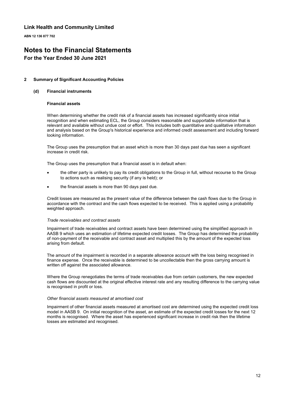**ABN 12 136 877 702**

# **Notes to the Financial Statements**

### **For the Year Ended 30 June 2021**

#### **2 Summary of Significant Accounting Policies**

#### **(d) Financial instruments**

#### **Financial assets**

When determining whether the credit risk of a financial assets has increased significantly since initial recognition and when estimating ECL, the Group considers reasonable and supportable information that is relevant and available without undue cost or effort. This includes both quantitative and qualitative information and analysis based on the Group's historical experience and informed credit assessment and including forward looking information.

The Group uses the presumption that an asset which is more than 30 days past due has seen a significant increase in credit risk.

The Group uses the presumption that a financial asset is in default when:

- the other party is unlikely to pay its credit obligations to the Group in full, without recourse to the Group to actions such as realising security (if any is held); or
- the financial assets is more than 90 days past due.

Credit losses are measured as the present value of the difference between the cash flows due to the Group in accordance with the contract and the cash flows expected to be received. This is applied using a probability weighted approach.

#### *Trade receivables and contract assets*

Impairment of trade receivables and contract assets have been determined using the simplified approach in AASB 9 which uses an estimation of lifetime expected credit losses. The Group has determined the probability of non-payment of the receivable and contract asset and multiplied this by the amount of the expected loss arising from default.

The amount of the impairment is recorded in a separate allowance account with the loss being recognised in finance expense. Once the receivable is determined to be uncollectable then the gross carrying amount is written off against the associated allowance.

Where the Group renegotiates the terms of trade receivables due from certain customers, the new expected cash flows are discounted at the original effective interest rate and any resulting difference to the carrying value is recognised in profit or loss.

#### *Other financial assets measured at amortised cost*

Impairment of other financial assets measured at amortised cost are determined using the expected credit loss model in AASB 9. On initial recognition of the asset, an estimate of the expected credit losses for the next 12 months is recognised. Where the asset has experienced significant increase in credit risk then the lifetime losses are estimated and recognised.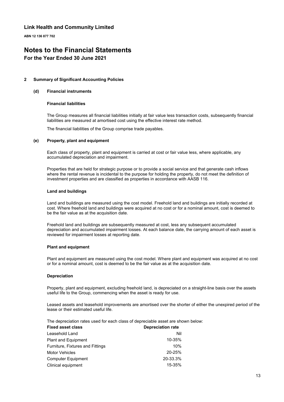**ABN 12 136 877 702**

# **Notes to the Financial Statements**

### **For the Year Ended 30 June 2021**

#### **2 Summary of Significant Accounting Policies**

#### **(d) Financial instruments**

#### **Financial liabilities**

The Group measures all financial liabilities initially at fair value less transaction costs, subsequently financial liabilities are measured at amortised cost using the effective interest rate method.

The financial liabilities of the Group comprise trade payables.

#### **(e) Property, plant and equipment**

Each class of property, plant and equipment is carried at cost or fair value less, where applicable, any accumulated depreciation and impairment.

Properties that are held for strategic purpose or to provide a social service and that generate cash inflows where the rental revenue is incidental to the purpose for holding the property, do not meet the definition of investment properties and are classified as properties in accordance with AASB 116.

#### **Land and buildings**

Land and buildings are measured using the cost model. Freehold land and buildings are initially recorded at cost. Where freehold land and buildings were acquired at no cost or for a nominal amount, cost is deemed to be the fair value as at the acquisition date.

Freehold land and buildings are subsequently measured at cost, less any subsequent accumulated depreciation and accumulated impairment losses. At each balance date, the carrying amount of each asset is reviewed for impairment losses at reporting date.

#### **Plant and equipment**

Plant and equipment are measured using the cost model. Where plant and equipment was acquired at no cost or for a nominal amount, cost is deemed to be the fair value as at the acquisition date.

#### **Depreciation**

Property, plant and equipment, excluding freehold land, is depreciated on a straight-line basis over the assets useful life to the Group, commencing when the asset is ready for use.

Leased assets and leasehold improvements are amortised over the shorter of either the unexpired period of the lease or their estimated useful life.

The depreciation rates used for each class of depreciable asset are shown below:

| <b>Fixed asset class</b>         | <b>Depreciation rate</b> |
|----------------------------------|--------------------------|
| Leasehold Land                   | Nil                      |
| <b>Plant and Equipment</b>       | 10-35%                   |
| Furniture, Fixtures and Fittings | 10%                      |
| <b>Motor Vehicles</b>            | 20-25%                   |
| <b>Computer Equipment</b>        | 20-33.3%                 |
| Clinical equipment               | 15-35%                   |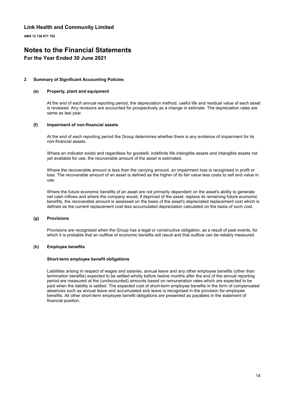**ABN 12 136 877 702**

# **Notes to the Financial Statements**

### **For the Year Ended 30 June 2021**

#### **2 Summary of Significant Accounting Policies**

#### **(e) Property, plant and equipment**

At the end of each annual reporting period, the depreciation method, useful life and residual value of each asset is reviewed. Any revisions are accounted for prospectively as a change in estimate. The depreciation rates are same as last year.

#### **(f) Impairment of non-financial assets**

At the end of each reporting period the Group determines whether there is any evidence of impairment for its non-financial assets.

Where an indicator exists and regardless for goodwill, indefinite life intangible assets and intangible assets not yet available for use, the recoverable amount of the asset is estimated.

Where the recoverable amount is less than the carrying amount, an impairment loss is recognised in profit or loss. The recoverable amount of an asset is defined as the higher of its fair value less costs to sell and value in use.

Where the future economic benefits of an asset are not primarily dependent on the asset's ability to generate net cash inflows and where the company would, if deprived of the asset, replace its remaining future economic benefits, the recoverable amount is assessed on the basis of the asset's depreciated replacement cost which is defined as the current replacement cost less accumulated depreciation calculated on the basis of such cost.

#### **(g) Provisions**

Provisions are recognised when the Group has a legal or constructive obligation, as a result of past events, for which it is probable that an outflow of economic benefits will result and that outflow can be reliably measured.

#### **(h) Employee benefits**

#### **Short-term employee benefit obligations**

Liabilities arising in respect of wages and salaries, annual leave and any other employee benefits (other than termination benefits) expected to be settled wholly before twelve months after the end of the annual reporting period are measured at the (undiscounted) amounts based on remuneration rates which are expected to be paid when the liability is settled. The expected cost of short-term employee benefits in the form of compensated absences such as annual leave and accumulated sick leave is recognised in the provision for employee benefits. All other short-term employee benefit obligations are presented as payables in the statement of financial position.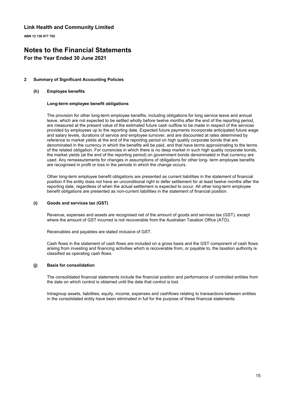**ABN 12 136 877 702**

# **Notes to the Financial Statements**

### **For the Year Ended 30 June 2021**

#### **2 Summary of Significant Accounting Policies**

#### **(h) Employee benefits**

#### **Long-term employee benefit obligations**

The provision for other long-term employee benefits, including obligations for long service leave and annual leave, which are not expected to be settled wholly before twelve months after the end of the reporting period, are measured at the present value of the estimated future cash outflow to be made in respect of the services provided by employees up to the reporting date. Expected future payments incorporate anticipated future wage and salary levels, durations of service and employee turnover, and are discounted at rates determined by reference to market yields at the end of the reporting period on high quality corporate bonds that are denominated in the currency in which the benefits will be paid, and that have terms approximating to the terms of the related obligation. For currencies in which there is no deep market in such high quality corporate bonds, the market yields (at the end of the reporting period) on government bonds denominated in that currency are used. Any remeasurements for changes in assumptions of obligations for other long- term employee benefits are recognised in profit or loss in the periods in which the change occurs.

Other long-term employee benefit obligations are presented as current liabilities in the statement of financial position if the entity does not have an unconditional right to defer settlement for at least twelve months after the reporting date, regardless of when the actual settlement is expected to occur. All other long-term employee benefit obligations are presented as non-current liabilities in the statement of financial position.

#### **(i) Goods and services tax (GST)**

Revenue, expenses and assets are recognised net of the amount of goods and services tax (GST), except where the amount of GST incurred is not recoverable from the Australian Taxation Office (ATO).

Receivables and payables are stated inclusive of GST.

Cash flows in the statement of cash flows are included on a gross basis and the GST component of cash flows arising from investing and financing activities which is recoverable from, or payable to, the taxation authority is classified as operating cash flows.

#### **(j) Basis for consolidation**

The consolidated financial statements include the financial position and performance of controlled entities from the date on which control is obtained until the date that control is lost.

Intragroup assets, liabilities, equity, income, expenses and cashflows relating to transactions between entities in the consolidated entity have been eliminated in full for the purpose of these financial statements.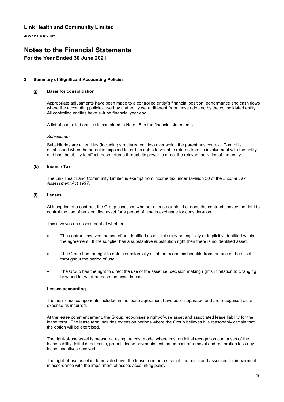**ABN 12 136 877 702**

# **Notes to the Financial Statements**

### **For the Year Ended 30 June 2021**

#### **2 Summary of Significant Accounting Policies**

#### **(j) Basis for consolidation**

Appropriate adjustments have been made to a controlled entity's financial position, performance and cash flows where the accounting policies used by that entity were different from those adopted by the consolidated entity. All controlled entities have a June financial year end.

A list of controlled entities is contained in Note 18 to the financial statements.

#### *Subsidiaries*

Subsidiaries are all entities (including structured entities) over which the parent has control. Control is established when the parent is exposed to, or has rights to variable returns from its involvement with the entity and has the ability to affect those returns through its power to direct the relevant activities of the entity.

#### **(k) Income Tax**

The Link Health and Community Limited is exempt from income tax under Division 50 of the *Income Tax Assessment Act 1997*.

#### **(l) Leases**

At inception of a contract, the Group assesses whether a lease exists - i.e. does the contract convey the right to control the use of an identified asset for a period of time in exchange for consideration.

This involves an assessment of whether:

- The contract involves the use of an identified asset this may be explicitly or implicitly identified within the agreement. If the supplier has a substantive substitution right then there is no identified asset.
- The Group has the right to obtain substantially all of the economic benefits from the use of the asset throughout the period of use.
- The Group has the right to direct the use of the asset i.e. decision making rights in relation to changing how and for what purpose the asset is used.

#### **Lessee accounting**

The non-lease components included in the lease agreement have been separated and are recognised as an expense as incurred.

At the lease commencement, the Group recognises a right-of-use asset and associated lease liability for the lease term. The lease term includes extension periods where the Group believes it is reasonably certain that the option will be exercised.

The right-of-use asset is measured using the cost model where cost on initial recognition comprises of the lease liability, initial direct costs, prepaid lease payments, estimated cost of removal and restoration less any lease incentives received.

The right-of-use asset is depreciated over the lease term on a straight line basis and assessed for impairment in accordance with the impairment of assets accounting policy.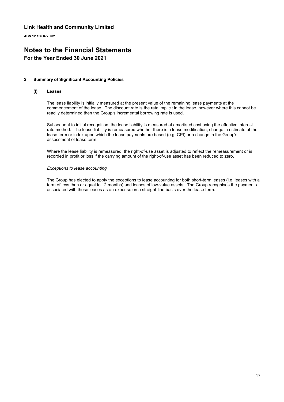**ABN 12 136 877 702**

# **Notes to the Financial Statements**

### **For the Year Ended 30 June 2021**

#### **2 Summary of Significant Accounting Policies**

#### **(l) Leases**

The lease liability is initially measured at the present value of the remaining lease payments at the commencement of the lease. The discount rate is the rate implicit in the lease, however where this cannot be readily determined then the Group's incremental borrowing rate is used.

Subsequent to initial recognition, the lease liability is measured at amortised cost using the effective interest rate method. The lease liability is remeasured whether there is a lease modification, change in estimate of the lease term or index upon which the lease payments are based (e.g. CPI) or a change in the Group's assessment of lease term.

Where the lease liability is remeasured, the right-of-use asset is adjusted to reflect the remeasurement or is recorded in profit or loss if the carrying amount of the right-of-use asset has been reduced to zero.

#### *Exceptions to lease accounting*

The Group has elected to apply the exceptions to lease accounting for both short-term leases (i.e. leases with a term of less than or equal to 12 months) and leases of low-value assets. The Group recognises the payments associated with these leases as an expense on a straight-line basis over the lease term.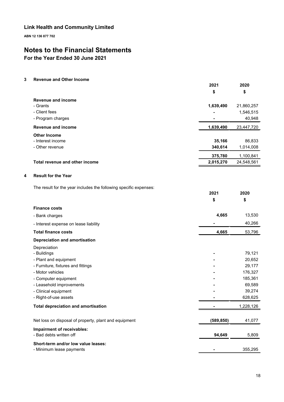**ABN 12 136 877 702**

# **Notes to the Financial Statements**

**For the Year Ended 30 June 2021**

**3 Revenue and Other Income**

|   |                                                                   | 2021       | 2020              |
|---|-------------------------------------------------------------------|------------|-------------------|
|   |                                                                   | \$         | \$                |
|   | <b>Revenue and income</b>                                         |            |                   |
|   | - Grants                                                          | 1,639,490  | 21,860,257        |
|   | - Client fees                                                     |            | 1,546,515         |
|   | - Program charges                                                 |            | 40,948            |
|   | <b>Revenue and income</b>                                         | 1,639,490  | 23,447,720        |
|   | <b>Other Income</b>                                               |            |                   |
|   | - Interest income                                                 | 35,166     | 86,833            |
|   | - Other revenue                                                   | 340,614    | 1,014,008         |
|   |                                                                   | 375,780    | 1,100,841         |
|   | Total revenue and other income                                    | 2,015,270  | 24,548,561        |
| 4 | <b>Result for the Year</b>                                        |            |                   |
|   |                                                                   |            |                   |
|   | The result for the year includes the following specific expenses: | 2021       | 2020              |
|   |                                                                   | \$         | \$                |
|   | <b>Finance costs</b>                                              |            |                   |
|   | - Bank charges                                                    | 4,665      | 13,530            |
|   | - Interest expense on lease liability                             |            | 40,266            |
|   | <b>Total finance costs</b>                                        | 4,665      | 53,796            |
|   | <b>Depreciation and amortisation</b>                              |            |                   |
|   | Depreciation                                                      |            |                   |
|   | - Buildings                                                       |            | 79,121            |
|   | - Plant and equipment                                             |            | 20,652            |
|   | - Furniture, fixtures and fittings                                |            | 29,177            |
|   | - Motor vehicles                                                  |            | 176,327           |
|   | - Computer equipment                                              |            | 185,361           |
|   | - Leasehold improvements                                          |            | 69,589            |
|   | - Clinical equipment<br>- Right-of-use assets                     |            | 39,274<br>628,625 |
|   |                                                                   |            |                   |
|   | <b>Total depreciation and amortisation</b>                        |            | 1,228,126         |
|   | Net loss on disposal of property, plant and equipment             | (589, 850) | 41,077            |
|   | Impairment of receivables:                                        |            |                   |
|   | - Bad debts written off                                           | 94,649     | 5,809             |
|   | Short-term and/or low value leases:                               |            |                   |
|   | - Minimum lease payments                                          |            | 355,295           |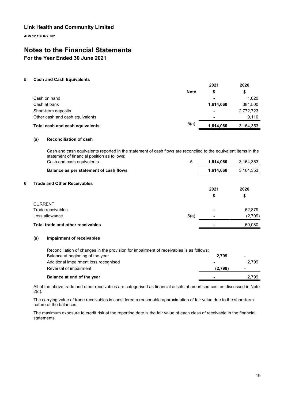**ABN 12 136 877 702**

# **Notes to the Financial Statements**

**For the Year Ended 30 June 2021**

#### **5 Cash and Cash Equivalents**

|                                 |             | 2021                     | 2020<br>\$ |
|---------------------------------|-------------|--------------------------|------------|
|                                 | <b>Note</b> | S                        |            |
| Cash on hand                    |             |                          | 1.020      |
| Cash at bank                    |             | 1,614,060                | 381,500    |
| Short-term deposits             |             | $\overline{\phantom{0}}$ | 2,772,723  |
| Other cash and cash equivalents |             |                          | 9.110      |
| Total cash and cash equivalents | 5(a)        | 1,614,060                | 3,164,353  |

#### **(a) Reconciliation of cash**

Cash and cash equivalents reported in the statement of cash flows are reconciled to the equivalent items in the statement of financial position as follows: Cash and cash equivalents 5 **1,614,060** 3,164,353

|    | Gash and cash cydivalchis              | ັ    | טטט, דו ט, ו | 0, 107, 000 |
|----|----------------------------------------|------|--------------|-------------|
|    | Balance as per statement of cash flows |      | 1,614,060    | 3,164,353   |
|    |                                        |      |              |             |
| 6. | <b>Trade and Other Receivables</b>     |      | 2021         | 2020        |
|    |                                        |      | \$           | \$          |
|    | <b>CURRENT</b>                         |      |              |             |
|    | Trade receivables                      |      | ٠            | 62,879      |
|    | Loss allowance                         | 6(a) | ٠            | (2,799)     |
|    | Total trade and other receivables      |      |              | 60.080      |

#### **(a) Impairment of receivables**

| Reconciliation of changes in the provision for impairment of receivables is as follows: |         |                 |
|-----------------------------------------------------------------------------------------|---------|-----------------|
| Balance at beginning of the year                                                        | 2.799   | $\qquad \qquad$ |
| Additional impairment loss recognised                                                   |         | 2.799           |
| Reversal of impairment                                                                  | (2,799) | -               |
| Balance at end of the year                                                              |         | 2.799           |

All of the above trade and other receivables are categorised as financial assets at amortised cost as discussed in Note 2(d).

The carrying value of trade receivables is considered a reasonable approximation of fair value due to the short-term nature of the balances.

The maximum exposure to credit risk at the reporting date is the fair value of each class of receivable in the financial statements.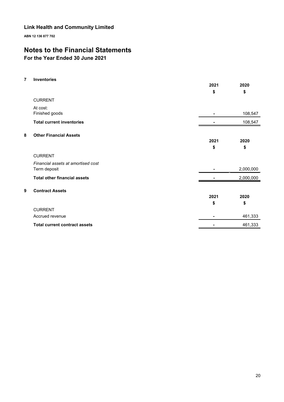**ABN 12 136 877 702**

# **Notes to the Financial Statements**

# **For the Year Ended 30 June 2021**

**7 Inventories**

|   |                                      | 2021 | 2020      |
|---|--------------------------------------|------|-----------|
|   |                                      | \$   | \$        |
|   | <b>CURRENT</b>                       |      |           |
|   | At cost:                             |      |           |
|   | Finished goods                       |      | 108,547   |
|   | <b>Total current inventories</b>     |      | 108,547   |
| 8 | <b>Other Financial Assets</b>        |      |           |
|   |                                      | 2021 | 2020      |
|   |                                      | \$   | \$        |
|   | <b>CURRENT</b>                       |      |           |
|   | Financial assets at amortised cost   |      |           |
|   | Term deposit                         |      | 2,000,000 |
|   | <b>Total other financial assets</b>  |      | 2,000,000 |
| 9 | <b>Contract Assets</b>               |      |           |
|   |                                      | 2021 | 2020      |
|   |                                      | \$   | \$        |
|   | <b>CURRENT</b>                       |      |           |
|   | Accrued revenue                      |      | 461,333   |
|   | <b>Total current contract assets</b> |      | 461,333   |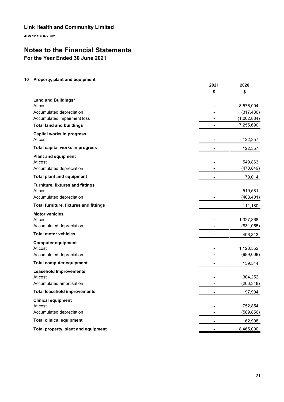**ABN 12 136 877 702**

# **Notes to the Financial Statements**

**For the Year Ended 30 June 2021**

### **10 Property, plant and equipment**

|                                             | 2021           | 2020        |
|---------------------------------------------|----------------|-------------|
|                                             | \$             | \$          |
| Land and Buildings*                         |                |             |
| At cost                                     |                | 8,576,004   |
| Accumulated depreciation                    |                | (317, 430)  |
| Accumulated impairment loss                 |                | (1,002,884) |
| <b>Total land and buildings</b>             | $\blacksquare$ | 7,255,690   |
| <b>Capital works in progress</b><br>At cost |                | 122,357     |
| Total capital works in progress             |                | 122,357     |
| <b>Plant and equipment</b>                  |                |             |
| At cost                                     |                | 549,863     |
| Accumulated depreciation                    |                | (470, 849)  |
| <b>Total plant and equipment</b>            |                | 79,014      |
| Furniture, fixtures and fittings            |                |             |
| At cost                                     |                | 519,581     |
| Accumulated depreciation                    |                | (408, 401)  |
| Total furniture, fixtures and fittings      | $\blacksquare$ | 111,180     |
| <b>Motor vehicles</b>                       |                |             |
| At cost                                     |                | 1,327,368   |
| Accumulated depreciation                    |                | (831, 055)  |
| <b>Total motor vehicles</b>                 |                | 496,313     |
| <b>Computer equipment</b>                   |                |             |
| At cost                                     |                | 1,128,552   |
| Accumulated depreciation                    |                | (989,008)   |
| <b>Total computer equipment</b>             |                | 139,544     |
| <b>Leasehold Improvements</b>               |                |             |
| At cost                                     |                | 304,252     |
| Accumulated amortisation                    |                | (206, 348)  |
| <b>Total leasehold improvements</b>         | $\blacksquare$ | 97,904      |
| <b>Clinical equipment</b>                   |                |             |
| At cost                                     |                | 752,854     |
| Accumulated depreciation                    |                | (589, 856)  |
| <b>Total clinical equipment</b>             |                | 162,998     |
| Total property, plant and equipment         | $\blacksquare$ | 8,465,000   |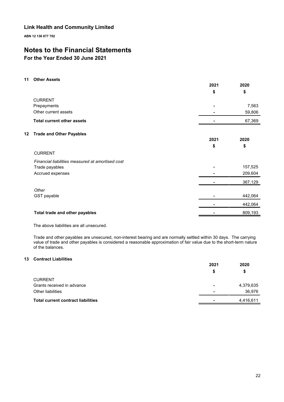**ABN 12 136 877 702**

# **Notes to the Financial Statements**

### **For the Year Ended 30 June 2021**

#### **11 Other Assets**

|    |                                                  | 2021<br>\$ | 2020<br>\$ |
|----|--------------------------------------------------|------------|------------|
|    | <b>CURRENT</b>                                   |            |            |
|    | Prepayments                                      |            | 7,563      |
|    | Other current assets                             |            | 59,806     |
|    | <b>Total current other assets</b>                |            | 67,369     |
| 12 | <b>Trade and Other Payables</b>                  |            |            |
|    |                                                  | 2021       | 2020       |
|    |                                                  | \$         | \$         |
|    | <b>CURRENT</b>                                   |            |            |
|    | Financial liabilities measured at amortised cost |            |            |
|    | Trade payables                                   |            | 157,525    |
|    | Accrued expenses                                 |            | 209,604    |
|    |                                                  |            | 367,129    |
|    | Other                                            |            |            |
|    | GST payable                                      |            | 442,064    |
|    |                                                  |            | 442,064    |
|    | Total trade and other payables                   |            | 809,193    |

The above liabilities are all unsecured.

Trade and other payables are unsecured, non-interest bearing and are normally settled within 30 days. The carrying value of trade and other payables is considered a reasonable approximation of fair value due to the short-term nature of the balances.

### **13 Contract Liabilities**

|                                           | 2021                     | 2020      |
|-------------------------------------------|--------------------------|-----------|
|                                           | \$                       | \$        |
| <b>CURRENT</b>                            |                          |           |
| Grants received in advance                | $\overline{\phantom{a}}$ | 4,379,635 |
| Other liabilities                         |                          | 36,976    |
| <b>Total current contract liabilities</b> |                          | 4,416,611 |
|                                           |                          |           |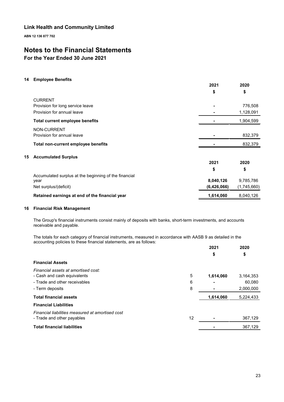**ABN 12 136 877 702**

# **Notes to the Financial Statements**

### **For the Year Ended 30 June 2021**

#### **14 Employee Benefits**

|                                                       | 2021<br>\$  | 2020<br>\$  |
|-------------------------------------------------------|-------------|-------------|
| <b>CURRENT</b>                                        |             |             |
| Provision for long service leave                      |             | 776,508     |
| Provision for annual leave                            |             | 1,128,091   |
| <b>Total current employee benefits</b>                |             | 1,904,599   |
| NON-CURRENT                                           |             |             |
| Provision for annual leave                            |             | 832,379     |
| Total non-current employee benefits                   |             | 832,379     |
| <b>Accumulated Surplus</b><br>15                      |             |             |
|                                                       | 2021        | 2020        |
|                                                       | \$          | \$          |
| Accumulated surplus at the beginning of the financial |             |             |
| year                                                  | 8,040,126   | 9,785,786   |
| Net surplus/(deficit)                                 | (6,426,066) | (1,745,660) |
| Retained earnings at end of the financial year        | 1,614,060   | 8,040,126   |

#### **16 Financial Risk Management**

The Group's financial instruments consist mainly of deposits with banks, short-term investments, and accounts receivable and payable.

The totals for each category of financial instruments, measured in accordance with AASB 9 as detailed in the accounting policies to these financial statements, are as follows:

|                                                  | 2021      | 2020      |
|--------------------------------------------------|-----------|-----------|
|                                                  | \$        | \$        |
| <b>Financial Assets</b>                          |           |           |
| Financial assets at amortised cost:              |           |           |
| 5<br>- Cash and cash equivalents                 | 1,614,060 | 3,164,353 |
| - Trade and other receivables<br>6               | -         | 60,080    |
| 8<br>- Term deposits                             |           | 2,000,000 |
| <b>Total financial assets</b>                    | 1,614,060 | 5,224,433 |
| <b>Financial Liabilities</b>                     |           |           |
| Financial liabilities measured at amortised cost |           |           |
| 12<br>- Trade and other payables                 |           | 367,129   |
| <b>Total financial liabilities</b>               |           | 367,129   |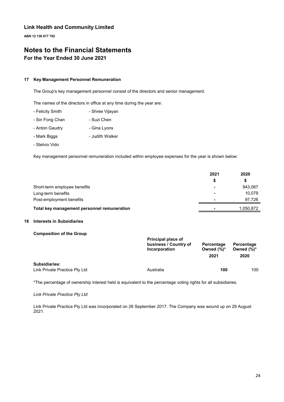**ABN 12 136 877 702**

# **Notes to the Financial Statements For the Year Ended 30 June 2021**

#### **17 Key Management Personnel Remuneration**

The Group's key management personnel consist of the directors and senior management.

The names of the directors in office at any time during the year are:

- Felicity Smith Shree Vijayan
- Sin Fong Chan Suzi Chen
- Anton Gaudry  **Gina Lyons**
- Mark Biggs  **Judith Walker**
- Stelvio Vido

Key management personnel remuneration included within employee expenses for the year is shown below:

|                                             | 2021 | 2020<br>S |
|---------------------------------------------|------|-----------|
|                                             | S    |           |
| Short-term employee benefits                |      | 943.067   |
| Long-term benefits                          |      | 10.079    |
| Post-employment benefits                    |      | 97.726    |
| Total key management personnel remuneration |      | 1,050,872 |

#### **18 Interests in Subsidiaries**

#### **Composition of the Group**

| Principal place of<br>business / Country of<br>Incorporation | Percentage<br>Owned $(\%)^*$<br>2021 | Percentage<br>Owned $(\%)^*$<br>2020 |
|--------------------------------------------------------------|--------------------------------------|--------------------------------------|
| Australia                                                    | 100                                  | 100                                  |
|                                                              |                                      |                                      |

\*The percentage of ownership interest held is equivalent to the percentage voting rights for all subsidiaries.

#### *Link Private Practice Pty Ltd*

Link Private Practice Pty Ltd was incorporated on 26 September 2017. The Company was wound up on 29 August 2021.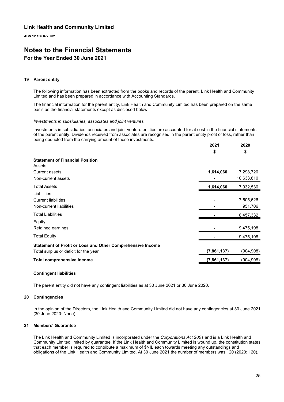**ABN 12 136 877 702**

# **Notes to the Financial Statements**

### **For the Year Ended 30 June 2021**

#### **19 Parent entity**

The following information has been extracted from the books and records of the parent, Link Health and Community Limited and has been prepared in accordance with Accounting Standards.

The financial information for the parent entity, Link Health and Community Limited has been prepared on the same basis as the financial statements except as disclosed below.

#### *Investments in subsidiaries, associates and joint ventures*

Investments in subsidiaries, associates and joint venture entities are accounted for at cost in the financial statements of the parent entity. Dividends received from associates are recognised in the parent entity profit or loss, rather than being deducted from the carrying amount of these investments.

**2021**

**2020**

|                                                                                                     | ZUZT<br>\$  | ZUZU<br>\$           |
|-----------------------------------------------------------------------------------------------------|-------------|----------------------|
| <b>Statement of Financial Position</b><br>Assets                                                    |             |                      |
| <b>Current assets</b>                                                                               | 1,614,060   | 7,298,720            |
| Non-current assets                                                                                  |             | 10,633,810           |
| <b>Total Assets</b>                                                                                 | 1,614,060   | 17,932,530           |
| Liabilities<br><b>Current liabilities</b><br>Non-current liabilities                                |             | 7,505,626<br>951,706 |
| <b>Total Liabilities</b>                                                                            |             | 8,457,332            |
| Equity<br>Retained earnings                                                                         |             | 9,475,198            |
| <b>Total Equity</b>                                                                                 |             | 9,475,198            |
| Statement of Profit or Loss and Other Comprehensive Income<br>Total surplus or deficit for the year | (7,861,137) | (904,908)            |
| <b>Total comprehensive income</b>                                                                   | (7,861,137) | (904,908)            |

#### **Contingent liabilities**

The parent entity did not have any contingent liabilities as at 30 June 2021 or 30 June 2020.

#### **20 Contingencies**

In the opinion of the Directors, the Link Health and Community Limited did not have any contingencies at 30 June 2021 (30 June 2020: None).

#### **21 Members' Guarantee**

The Link Health and Community Limited is incorporated under the *Corporations Act 2001* and is a Link Health and Community Limited limited by guarantee. If the Link Health and Community Limited is wound up, the constitution states that each member is required to contribute a maximum of \$NIL each towards meeting any outstandings and obligations of the Link Health and Community Limited. At 30 June 2021 the number of members was 120 (2020: 120).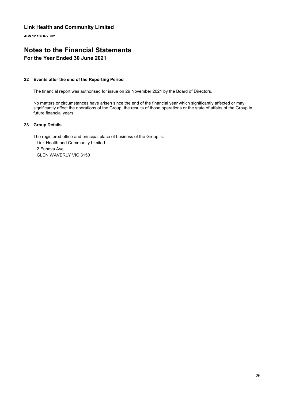**ABN 12 136 877 702**

# **Notes to the Financial Statements**

### **For the Year Ended 30 June 2021**

#### **22 Events after the end of the Reporting Period**

The financial report was authorised for issue on 29 November 2021 by the Board of Directors.

No matters or circumstances have arisen since the end of the financial year which significantly affected or may significantly affect the operations of the Group, the results of those operations or the state of affairs of the Group in future financial years.

#### **23 Group Details**

The registered office and principal place of business of the Group is: Link Health and Community Limited 2 Euneva Ave GLEN WAVERLY VIC 3150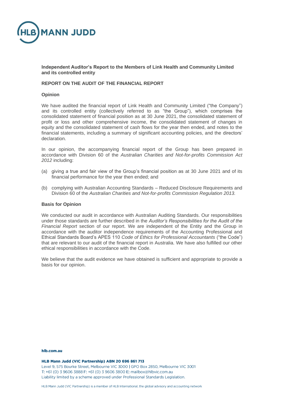

**Independent Auditor's Report to the Members of Link Health and Community Limited and its controlled entity**

#### **REPORT ON THE AUDIT OF THE FINANCIAL REPORT**

#### **Opinion**

We have audited the financial report of Link Health and Community Limited ("the Company") and its controlled entity (collectively referred to as "the Group"), which comprises the consolidated statement of financial position as at 30 June 2021, the consolidated statement of profit or loss and other comprehensive income, the consolidated statement of changes in equity and the consolidated statement of cash flows for the year then ended, and notes to the financial statements, including a summary of significant accounting policies, and the directors' declaration.

In our opinion, the accompanying financial report of the Group has been prepared in accordance with Division 60 of the *Australian Charities and Not-for-profits Commission Act 2012* including:

- (a) giving a true and fair view of the Group's financial position as at 30 June 2021 and of its financial performance for the year then ended; and
- (b) complying with Australian Accounting Standards Reduced Disclosure Requirements and Division 60 of the *Australian Charities and Not-for-profits Commission Regulation 2013.*

#### **Basis for Opinion**

We conducted our audit in accordance with Australian Auditing Standards. Our responsibilities under those standards are further described in the *Auditor's Responsibilities for the Audit of the Financial Report* section of our report. We are independent of the Entity and the Group in accordance with the auditor independence requirements of the Accounting Professional and Ethical Standards Board's APES 110 *Code of Ethics for Professional Accountants* ("the Code") that are relevant to our audit of the financial report in Australia. We have also fulfilled our other ethical responsibilities in accordance with the Code.

We believe that the audit evidence we have obtained is sufficient and appropriate to provide a basis for our opinion.

#### hlh com au

#### HLB Mann Judd (VIC Partnership) ABN 20 696 861 713

Level 9, 575 Bourke Street, Melbourne VIC 3000 | GPO Box 2850, Melbourne VIC 3001 T: +61 (0) 3 9606 3888 F: +61 (0) 3 9606 3800 E: mailbox@hlbvic.com.au Liability limited by a scheme approved under Professional Standards Legislation.

HLB Mann Judd (VIC Partnership) is a member of HLB International, the global advisory and accounting network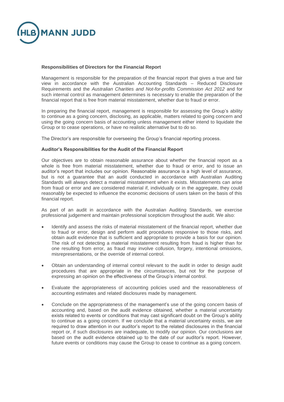

#### **Responsibilities of Directors for the Financial Report**

Management is responsible for the preparation of the financial report that gives a true and fair view in accordance with the Australian Accounting Standards – Reduced Disclosure Requirements and the *Australian Charities and Not-for-profits Commission Act 2012* and for such internal control as management determines is necessary to enable the preparation of the financial report that is free from material misstatement, whether due to fraud or error.

In preparing the financial report, management is responsible for assessing the Group's ability to continue as a going concern, disclosing, as applicable, matters related to going concern and using the going concern basis of accounting unless management either intend to liquidate the Group or to cease operations, or have no realistic alternative but to do so.

The Director's are responsible for overseeing the Group's financial reporting process.

#### **Auditor's Responsibilities for the Audit of the Financial Report**

Our objectives are to obtain reasonable assurance about whether the financial report as a whole is free from material misstatement, whether due to fraud or error, and to issue an auditor's report that includes our opinion. Reasonable assurance is a high level of assurance, but is not a guarantee that an audit conducted in accordance with Australian Auditing Standards will always detect a material misstatement when it exists. Misstatements can arise from fraud or error and are considered material if, individually or in the aggregate, they could reasonably be expected to influence the economic decisions of users taken on the basis of this financial report.

As part of an audit in accordance with the Australian Auditing Standards, we exercise professional judgement and maintain professional scepticism throughout the audit. We also:

- Identify and assess the risks of material misstatement of the financial report, whether due to fraud or error, design and perform audit procedures responsive to those risks, and obtain audit evidence that is sufficient and appropriate to provide a basis for our opinion. The risk of not detecting a material misstatement resulting from fraud is higher than for one resulting from error, as fraud may involve collusion, forgery, intentional omissions, misrepresentations, or the override of internal control.
- Obtain an understanding of internal control relevant to the audit in order to design audit procedures that are appropriate in the circumstances, but not for the purpose of expressing an opinion on the effectiveness of the Group's internal control.
- Evaluate the appropriateness of accounting policies used and the reasonableness of accounting estimates and related disclosures made by management.
- Conclude on the appropriateness of the management's use of the going concern basis of accounting and, based on the audit evidence obtained, whether a material uncertainty exists related to events or conditions that may cast significant doubt on the Group's ability to continue as a going concern. If we conclude that a material uncertainty exists, we are required to draw attention in our auditor's report to the related disclosures in the financial report or, if such disclosures are inadequate, to modify our opinion. Our conclusions are based on the audit evidence obtained up to the date of our auditor's report. However, future events or conditions may cause the Group to cease to continue as a going concern.